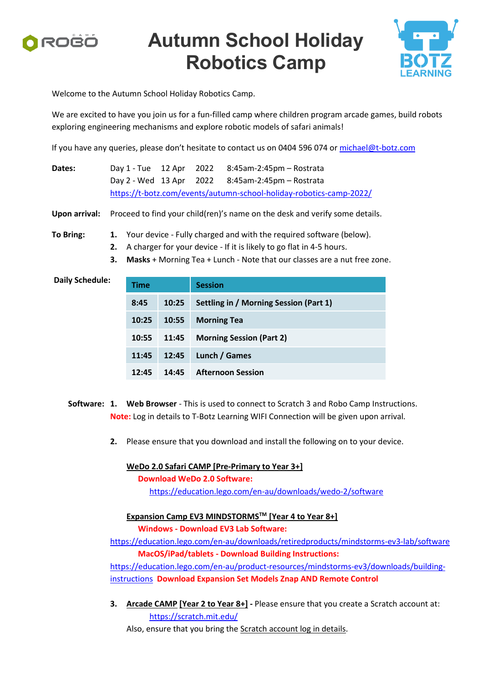

## **Autumn School Holiday Robotics Camp**



Welcome to the Autumn School Holiday Robotics Camp.

We are excited to have you join us for a fun-filled camp where children program arcade games, build robots exploring engineering mechanisms and explore robotic models of safari animals!

If you have any queries, please don't hesitate to contact us on 0404 596 074 o[r michael@t-botz.com](mailto:michael@t-botz.com)

**Dates:** Day 1 - Tue 12 Apr 2022 8:45am-2:45pm – Rostrata Day 2 - Wed 13 Apr 2022 8:45am-2:45pm – Rostrata <https://t-botz.com/events/autumn-school-holiday-robotics-camp-2022/>

**Upon arrival:** Proceed to find your child(ren)'s name on the desk and verify some details.

**To Bring: 1.** Your device - Fully charged and with the required software (below).

- **2.** A charger for your device If it is likely to go flat in 4-5 hours.
- **3. Masks** + Morning Tea + Lunch Note that our classes are a nut free zone.

**Daily Schedule:** 

| <b>Time</b> |       | <b>Session</b>                         |
|-------------|-------|----------------------------------------|
| 8:45        | 10:25 | Settling in / Morning Session (Part 1) |
| 10:25       | 10:55 | <b>Morning Tea</b>                     |
| 10:55       | 11:45 | <b>Morning Session (Part 2)</b>        |
| 11:45       | 12:45 | Lunch / Games                          |
| 12:45       | 14:45 | <b>Afternoon Session</b>               |

**Software: 1. Web Browser** - This is used to connect to Scratch 3 and Robo Camp Instructions. **Note:** Log in details to T-Botz Learning WIFI Connection will be given upon arrival.

**2.** Please ensure that you download and install the following on to your device.

 **WeDo 2.0 Safari CAMP [Pre-Primary to Year 3+] Download WeDo 2.0 Software:** <https://education.lego.com/en-au/downloads/wedo-2/software>

**Expansion Camp EV3 MINDSTORMSTM [Year 4 to Year 8+]**

**Windows - Download EV3 Lab Software:** 

<https://education.lego.com/en-au/downloads/retiredproducts/mindstorms-ev3-lab/software> **MacOS/iPad/tablets - Download Building Instructions:**

[https://education.lego.com/en-au/product-resources/mindstorms-ev3/downloads/building](https://education.lego.com/en-au/product-resources/mindstorms-ev3/downloads/building-instructions)[instructions](https://education.lego.com/en-au/product-resources/mindstorms-ev3/downloads/building-instructions) **Download Expansion Set Models Znap AND Remote Control**

**3. Arcade CAMP [Year 2 to Year 8+] -** Please ensure that you create a Scratch account at: <https://scratch.mit.edu/>

Also, ensure that you bring the Scratch account log in details.